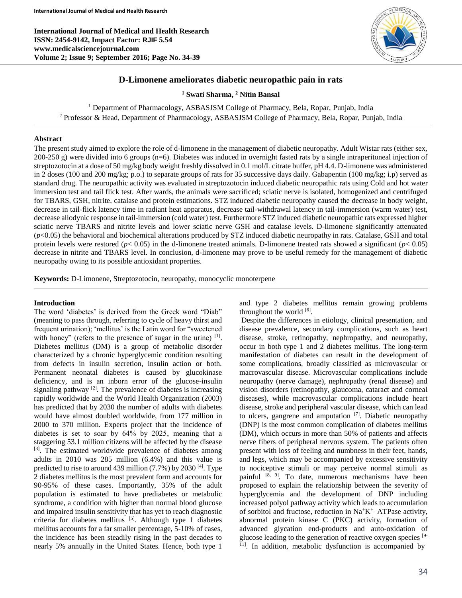**International Journal of Medical and Health Research ISSN: 2454-9142, Impact Factor: RJIF 5.54 www.medicalsciencejournal.com Volume 2; Issue 9; September 2016; Page No. 34-39**



# **D-Limonene ameliorates diabetic neuropathic pain in rats**

**<sup>1</sup> Swati Sharma, <sup>2</sup> Nitin Bansal**

<sup>1</sup> Department of Pharmacology, ASBASJSM College of Pharmacy, Bela, Ropar, Punjab, India <sup>2</sup> Professor & Head, Department of Pharmacology, ASBASJSM College of Pharmacy, Bela, Ropar, Punjab, India

### **Abstract**

The present study aimed to explore the role of d-limonene in the management of diabetic neuropathy. Adult Wistar rats (either sex, 200-250 g) were divided into 6 groups (n=6). Diabetes was induced in overnight fasted rats by a single intraperitoneal injection of streptozotocin at a dose of 50 mg/kg body weight freshly dissolved in 0.1 mol/L citrate buffer, pH 4.4. D-limonene was administered in 2 doses (100 and 200 mg/kg; p.o.) to separate groups of rats for 35 successive days daily. Gabapentin (100 mg/kg; i.p) served as standard drug. The neuropathic activity was evaluated in streptozotocin induced diabetic neuropathic rats using Cold and hot water immersion test and tail flick test. After wards, the animals were sacrificed; sciatic nerve is isolated, homogenized and centrifuged for TBARS, GSH, nitrite, catalase and protein estimations. STZ induced diabetic neuropathy caused the decrease in body weight, decrease in tail-flick latency time in radiant heat apparatus, decrease tail-withdrawal latency in tail-immersion (warm water) test, decrease allodynic response in tail-immersion (cold water) test. Furthermore STZ induced diabetic neuropathic rats expressed higher sciatic nerve TBARS and nitrite levels and lower sciatic nerve GSH and catalase levels. D-limonene significantly attenuated (*p*<0.05) the behavioral and biochemical alterations produced by STZ induced diabetic neuropathy in rats. Catalase, GSH and total protein levels were restored ( $p < 0.05$ ) in the d-limonene treated animals. D-limonene treated rats showed a significant ( $p < 0.05$ ) decrease in nitrite and TBARS level. In conclusion, d-limonene may prove to be useful remedy for the management of diabetic neuropathy owing to its possible antioxidant properties.

**Keywords:** D-Limonene, Streptozotocin, neuropathy, monocyclic monoterpene

### **Introduction**

The word 'diabetes' is derived from the Greek word "Diab" (meaning to pass through, referring to cycle of heavy thirst and frequent urination); 'mellitus' is the Latin word for "sweetened with honey" (refers to the presence of sugar in the urine) [1]. Diabetes mellitus (DM) is a group of metabolic disorder characterized by a chronic hyperglycemic condition resulting from defects in insulin secretion, insulin action or both. Permanent neonatal diabetes is caused by glucokinase deficiency, and is an inborn error of the glucose-insulin signaling pathway  $[2]$ . The prevalence of diabetes is increasing rapidly worldwide and the World Health Organization (2003) has predicted that by 2030 the number of adults with diabetes would have almost doubled worldwide, from 177 million in 2000 to 370 million. Experts project that the incidence of diabetes is set to soar by  $64\%$  by  $2025$ , meaning that a staggering 53.1 million citizens will be affected by the disease [3]. The estimated worldwide prevalence of diabetes among adults in 2010 was 285 million (6.4%) and this value is predicted to rise to around 439 million  $(7.7%)$  by 2030<sup>[4]</sup>. Type 2 diabetes mellitus is the most prevalent form and accounts for 90-95% of these cases. Importantly, 35% of the adult population is estimated to have prediabetes or metabolic syndrome, a condition with higher than normal blood glucose and impaired insulin sensitivity that has yet to reach diagnostic criteria for diabetes mellitus  $[5]$ . Although type 1 diabetes mellitus accounts for a far smaller percentage, 5-10% of cases, the incidence has been steadily rising in the past decades to nearly 5% annually in the United States. Hence, both type 1

and type 2 diabetes mellitus remain growing problems throughout the world  $^{[6]}$ .

Despite the differences in etiology, clinical presentation, and disease prevalence, secondary complications, such as heart disease, stroke, retinopathy, nephropathy, and neuropathy, occur in both type 1 and 2 diabetes mellitus. The long-term manifestation of diabetes can result in the development of some complications, broadly classified as microvascular or macrovascular disease. Microvascular complications include neuropathy (nerve damage), nephropathy (renal disease) and vision disorders (retinopathy, glaucoma, cataract and corneal diseases), while macrovascular complications include heart disease, stroke and peripheral vascular disease, which can lead to ulcers, gangrene and amputation  $[7]$ . Diabetic neuropathy (DNP) is the most common complication of diabetes mellitus (DM), which occurs in more than 50% of patients and affects nerve fibers of peripheral nervous system. The patients often present with loss of feeling and numbness in their feet, hands, and legs, which may be accompanied by excessive sensitivity to nociceptive stimuli or may perceive normal stimuli as painful <sup>[8, 9]</sup>. To date, numerous mechanisms have been proposed to explain the relationship between the severity of hyperglycemia and the development of DNP including increased polyol pathway activity which leads to accumulation of sorbitol and fructose, reduction in  $Na+K^+$ –ATPase activity, abnormal protein kinase C (PKC) activity, formation of advanced glycation end-products and auto-oxidation of glucose leading to the generation of reactive oxygen species [9- <sup>11]</sup>. In addition, metabolic dysfunction is accompanied by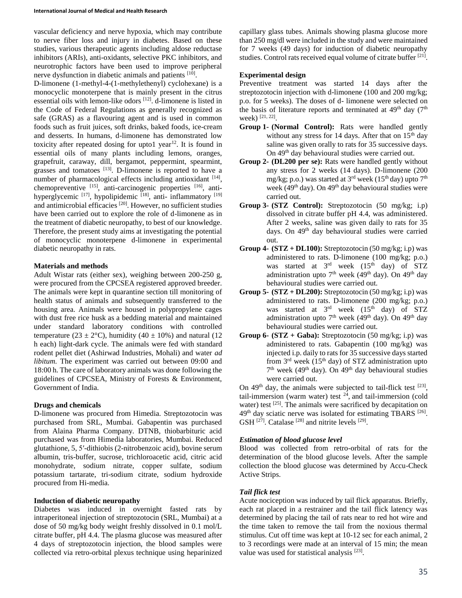vascular deficiency and nerve hypoxia, which may contribute to nerve fiber loss and injury in diabetes. Based on these studies, various therapeutic agents including aldose reductase inhibitors (ARIs), anti-oxidants, selective PKC inhibitors, and neurotrophic factors have been used to improve peripheral nerve dysfunction in diabetic animals and patients [10].

D-limonene (1-methyl-4-(1-methylethenyl) cyclohexane) is a monocyclic monoterpene that is mainly present in the citrus essential oils with lemon-like odors [12]. d-limonene is listed in the Code of Federal Regulations as generally recognized as safe (GRAS) as a flavouring agent and is used in common foods such as fruit juices, soft drinks, baked foods, ice-cream and desserts. In humans, d-limonene has demonstrated low toxicity after repeated dosing for upto1 year<sup>12</sup>. It is found in essential oils of many plants including lemons, oranges, grapefruit, caraway, dill, bergamot, peppermint, spearmint, grasses and tomatoes  $[13]$ . D-limonene is reported to have a number of pharmacological effects including antioxidant [14], chemopreventive [15], anti-carcinogenic properties [16], antihyperglycemic <sup>[17]</sup>, hypolipidemic <sup>[18]</sup>, anti- inflammatory <sup>[19]</sup> and antimicrobial efficacies  $[20]$ . However, no sufficient studies have been carried out to explore the role of d-limonene as in the treatment of diabetic neuropathy, to best of our knowledge. Therefore, the present study aims at investigating the potential of monocyclic monoterpene d-limonene in experimental diabetic neuropathy in rats.

## **Materials and methods**

Adult Wistar rats (either sex), weighing between 200-250 g, were procured from the CPCSEA registered approved breeder. The animals were kept in quarantine section till monitoring of health status of animals and subsequently transferred to the housing area. Animals were housed in polypropylene cages with dust free rice husk as a bedding material and maintained under standard laboratory conditions with controlled temperature (23  $\pm$  2°C), humidity (40  $\pm$  10%) and natural (12 h each) light-dark cycle. The animals were fed with standard rodent pellet diet (Ashirwad Industries, Mohali) and water *ad libitum.* The experiment was carried out between 09:00 and 18:00 h. The care of laboratory animals was done following the guidelines of CPCSEA, Ministry of Forests & Environment, Government of India.

## **Drugs and chemicals**

D-limonene was procured from Himedia. Streptozotocin was purchased from SRL, Mumbai. Gabapentin was purchased from Alaina Pharma Company. DTNB, thiobarbituric acid purchased was from Himedia laboratories, Mumbai. Reduced glutathione, 5, 5′-dithiobis (2-nitrobenzoic acid), bovine serum albumin, tris-buffer, sucrose, trichloroacetic acid, citric acid monohydrate, sodium nitrate, copper sulfate, sodium potassium tartarate, tri-sodium citrate, sodium hydroxide procured from Hi-media.

### **Induction of diabetic neuropathy**

Diabetes was induced in overnight fasted rats by intraperitoneal injection of streptozotocin (SRL, Mumbai) at a dose of 50 mg/kg body weight freshly dissolved in 0.1 mol/L citrate buffer, pH 4.4. The plasma glucose was measured after 4 days of streptozotocin injection, the blood samples were collected via retro-orbital plexus technique using heparinized capillary glass tubes. Animals showing plasma glucose more than 250 mg/dl were included in the study and were maintained for 7 weeks (49 days) for induction of diabetic neuropathy studies. Control rats received equal volume of citrate buffer [21].

# **Experimental design**

Preventive treatment was started 14 days after the streptozotocin injection with d-limonene (100 and 200 mg/kg; p.o. for 5 weeks). The doses of d- limonene were selected on the basis of literature reports and terminated at  $49<sup>th</sup>$  day (7<sup>th</sup>) week) [21, 22].

- **Group 1- (Normal Control):** Rats were handled gently without any stress for 14 days. After that on  $15<sup>th</sup>$  day saline was given orally to rats for 35 successive days. On 49<sup>th</sup> day behavioural studies were carried out.
- **Group 2- (DL200 per se):** Rats were handled gently without any stress for 2 weeks (14 days). D-limonene (200 mg/kg; p.o.) was started at  $3<sup>rd</sup>$  week (15<sup>th</sup> day) upto 7<sup>th</sup> week ( $49<sup>th</sup>$  day). On  $49<sup>th</sup>$  day behavioural studies were carried out.
- **Group 3- (STZ Control):** Streptozotocin (50 mg/kg; i.p) dissolved in citrate buffer pH 4.4, was administered. After 2 weeks, saline was given daily to rats for 35 days. On 49<sup>th</sup> day behavioural studies were carried out.
- **Group 4- (STZ + DL100):** Streptozotocin (50 mg/kg; i.p) was administered to rats. D-limonene (100 mg/kg; p.o.) was started at 3<sup>rd</sup> week (15<sup>th</sup> day) of STZ administration upto  $7<sup>th</sup>$  week (49<sup>th</sup> day). On 49<sup>th</sup> day behavioural studies were carried out.
- **Group 5- (STZ + DL200):** Streptozotocin (50 mg/kg; i.p) was administered to rats. D-limonene (200 mg/kg; p.o.) was started at  $3<sup>rd</sup>$  week  $(15<sup>th</sup>$  day) of STZ administration upto  $7<sup>th</sup>$  week (49<sup>th</sup> day). On 49<sup>th</sup> day behavioural studies were carried out.
- **Group 6- (STZ + Gaba):** Streptozotocin (50 mg/kg; i.p) was administered to rats. Gabapentin (100 mg/kg) was injected i.p. daily to rats for 35 successive days started from  $3<sup>rd</sup>$  week (15<sup>th</sup> day) of STZ administration upto 7<sup>th</sup> week (49<sup>th</sup> day). On 49<sup>th</sup> day behavioural studies were carried out.

On  $49<sup>th</sup>$  day, the animals were subjected to tail-flick test  $^{[23]}$ , tail-immersion (warm water) test  $24$ , and tail-immersion (cold water) test  $^{[25]}$ . The animals were sacrificed by decapitation on 49<sup>th</sup> day sciatic nerve was isolated for estimating TBARS<sup>[26]</sup>. GSH<sup>[27]</sup>. Catalase<sup>[28]</sup> and nitrite levels<sup>[29]</sup>.

## *Estimation of blood glucose level*

Blood was collected from retro-orbital of rats for the determination of the blood glucose levels. After the sample collection the blood glucose was determined by Accu-Check Active Strips.

## *Tail flick test*

Acute nociception was induced by tail flick apparatus. Briefly, each rat placed in a restrainer and the tail flick latency was determined by placing the tail of rats near to red hot wire and the time taken to remove the tail from the noxious thermal stimulus. Cut off time was kept at 10-12 sec for each animal, 2 to 3 recordings were made at an interval of 15 min; the mean value was used for statistical analysis [23].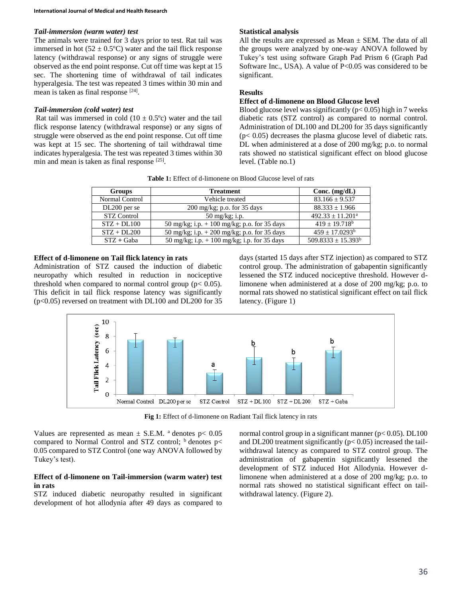## *Tail-immersion (warm water) test*

The animals were trained for 3 days prior to test. Rat tail was immersed in hot  $(52 \pm 0.5^{\circ}C)$  water and the tail flick response latency (withdrawal response) or any signs of struggle were observed as the end point response. Cut off time was kept at 15 sec. The shortening time of withdrawal of tail indicates hyperalgesia. The test was repeated 3 times within 30 min and mean is taken as final response <sup>[24]</sup>.

# *Tail-immersion (cold water) test*

Rat tail was immersed in cold  $(10 \pm 0.5^{\circ}c)$  water and the tail flick response latency (withdrawal response) or any signs of struggle were observed as the end point response. Cut off time was kept at 15 sec. The shortening of tail withdrawal time indicates hyperalgesia. The test was repeated 3 times within 30 min and mean is taken as final response [25].

## **Statistical analysis**

All the results are expressed as Mean  $\pm$  SEM. The data of all the groups were analyzed by one-way ANOVA followed by Tukey's test using software Graph Pad Prism 6 (Graph Pad Software Inc., USA). A value of P<0.05 was considered to be significant.

# **Results**

## **Effect of d-limonene on Blood Glucose level**

Blood glucose level was significantly  $(p< 0.05)$  high in 7 weeks diabetic rats (STZ control) as compared to normal control. Administration of DL100 and DL200 for 35 days significantly  $(p< 0.05)$  decreases the plasma glucose level of diabetic rats. DL when administered at a dose of 200 mg/kg; p.o. to normal rats showed no statistical significant effect on blood glucose level. (Table no.1)

**Table 1:** Effect of d-limonene on Blood Glucose level of rats

| <b>Groups</b>      | <b>Treatment</b>                              | Conc. $(mg/dL)$                |
|--------------------|-----------------------------------------------|--------------------------------|
| Normal Control     | Vehicle treated                               | $83.166 \pm 9.537$             |
| DL200 per se       | 200 mg/kg; p.o. for 35 days                   | $88.333 \pm 1.966$             |
| <b>STZ Control</b> | $50 \text{ mg/kg}$ ; i.p.                     | $492.33 \pm 11.201^{\text{a}}$ |
| $STZ + DL100$      | 50 mg/kg; i.p. $+100$ mg/kg; p.o. for 35 days | $419 + 19.718^b$               |
| $STZ + DL200$      | 50 mg/kg; i.p. $+200$ mg/kg; p.o. for 35 days | $459 \pm 17.0293^{\rm b}$      |
| $STZ + Gaba$       | 50 mg/kg; i.p. $+100$ mg/kg; i.p. for 35 days | $509.8333 \pm 15.393^b$        |

### **Effect of d-limonene on Tail flick latency in rats**

Administration of STZ caused the induction of diabetic neuropathy which resulted in reduction in nociceptive threshold when compared to normal control group ( $p < 0.05$ ). This deficit in tail flick response latency was significantly (p<0.05) reversed on treatment with DL100 and DL200 for 35

days (started 15 days after STZ injection) as compared to STZ control group. The administration of gabapentin significantly lessened the STZ induced nociceptive threshold. However dlimonene when administered at a dose of 200 mg/kg; p.o. to normal rats showed no statistical significant effect on tail flick latency. (Figure 1)



**Fig 1:** Effect of d-limonene on Radiant Tail flick latency in rats

Values are represented as mean  $\pm$  S.E.M. <sup>a</sup> denotes p< 0.05 compared to Normal Control and STZ control;  $\frac{b}{c}$  denotes p< 0.05 compared to STZ Control (one way ANOVA followed by Tukey's test).

## **Effect of d-limonene on Tail-immersion (warm water) test in rats**

STZ induced diabetic neuropathy resulted in significant development of hot allodynia after 49 days as compared to

normal control group in a significant manner ( $p < 0.05$ ). DL100 and DL200 treatment significantly  $(p< 0.05)$  increased the tailwithdrawal latency as compared to STZ control group. The administration of gabapentin significantly lessened the development of STZ induced Hot Allodynia. However dlimonene when administered at a dose of 200 mg/kg; p.o. to normal rats showed no statistical significant effect on tailwithdrawal latency. (Figure 2).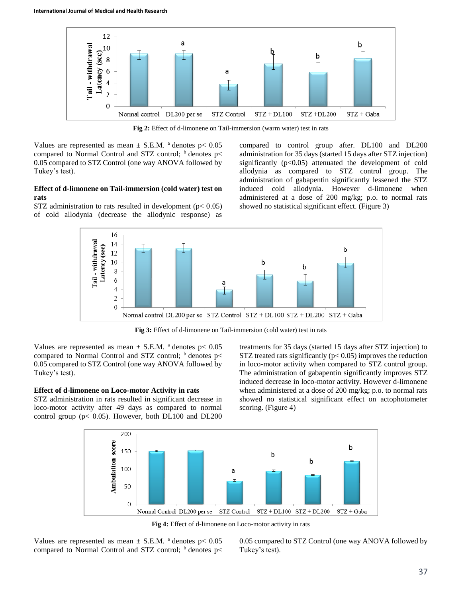

**Fig 2:** Effect of d-limonene on Tail-immersion (warm water) test in rats

Values are represented as mean  $\pm$  S.E.M. <sup>a</sup> denotes p $< 0.05$ compared to Normal Control and STZ control;  $<sup>b</sup>$  denotes p<</sup> 0.05 compared to STZ Control (one way ANOVA followed by Tukey's test).

# **Effect of d-limonene on Tail-immersion (cold water) test on rats**

STZ administration to rats resulted in development ( $p < 0.05$ ) of cold allodynia (decrease the allodynic response) as

compared to control group after. DL100 and DL200 administration for 35 days (started 15 days after STZ injection) significantly  $(p<0.05)$  attenuated the development of cold allodynia as compared to STZ control group. The administration of gabapentin significantly lessened the STZ induced cold allodynia. However d-limonene when administered at a dose of 200 mg/kg; p.o. to normal rats showed no statistical significant effect. (Figure 3)



**Fig 3:** Effect of d-limonene on Tail-immersion (cold water) test in rats

Values are represented as mean  $\pm$  S.E.M. <sup>a</sup> denotes p $< 0.05$ compared to Normal Control and STZ control;  $\frac{b}{c}$  denotes p< 0.05 compared to STZ Control (one way ANOVA followed by Tukey's test).

# **Effect of d-limonene on Loco-motor Activity in rats**

STZ administration in rats resulted in significant decrease in loco-motor activity after 49 days as compared to normal control group ( $p < 0.05$ ). However, both DL100 and DL200

treatments for 35 days (started 15 days after STZ injection) to STZ treated rats significantly ( $p < 0.05$ ) improves the reduction in loco-motor activity when compared to STZ control group. The administration of gabapentin significantly improves STZ induced decrease in loco-motor activity. However d-limonene when administered at a dose of 200 mg/kg; p.o. to normal rats showed no statistical significant effect on actophotometer scoring. (Figure 4)



**Fig 4:** Effect of d-limonene on Loco-motor activity in rats

Values are represented as mean  $\pm$  S.E.M. <sup>a</sup> denotes p $< 0.05$ compared to Normal Control and STZ control;  $\frac{b}{c}$  denotes p< 0.05 compared to STZ Control (one way ANOVA followed by Tukey's test).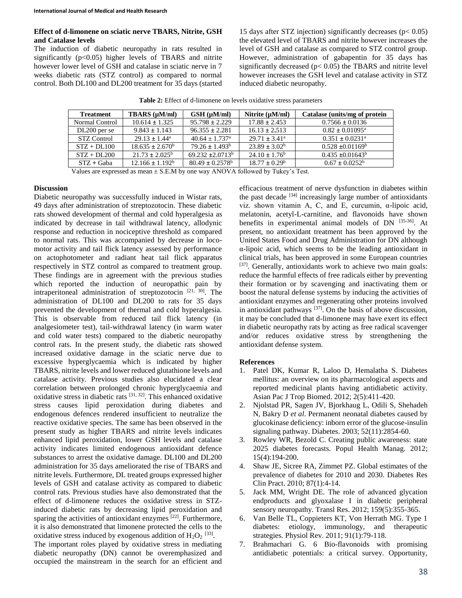## **Effect of d-limonene on sciatic nerve TBARS, Nitrite, GSH and Catalase levels**

The induction of diabetic neuropathy in rats resulted in significantly  $(p<0.05)$  higher levels of TBARS and nitrite however lower level of GSH and catalase in sciatic nerve in 7 weeks diabetic rats (STZ control) as compared to normal control. Both DL100 and DL200 treatment for 35 days (started

15 days after STZ injection) significantly decreases ( $p < 0.05$ ) the elevated level of TBARS and nitrite however increases the level of GSH and catalase as compared to STZ control group. However, administration of gabapentin for 35 days has significantly decreased ( $p$ < 0.05) the TBARS and nitrite level however increases the GSH level and catalase activity in STZ induced diabetic neuropathy.

| <b>Treatment</b> | TBARS (µM/ml)              | $GSH(\mu M/ml)$              | Nitrite $(\mu M/ml)$ | Catalase (units/mg of protein |
|------------------|----------------------------|------------------------------|----------------------|-------------------------------|
| Normal Control   | $10.614 \pm 1.325$         | $95.798 \pm 2.229$           | $17.88 \pm 2.453$    | $0.7566 \pm 0.0136$           |
| $DL200$ per se   | $9.843 \pm 1.143$          | $96.355 \pm 2.281$           | $16.13 \pm 2.513$    | $0.82 \pm 0.01095^{\text{a}}$ |
| STZ Control      | $29.13 \pm 1.44^{\circ}$   | $40.64 + 1.737$ <sup>a</sup> | $29.71 + 3.41^a$     | $0.351 \pm 0.0231^{\text{a}}$ |
| $STZ + DL100$    | $18.635 \pm 2.670^{\circ}$ | $79.26 \pm 1.493^b$          | $23.89 \pm 3.02^b$   | $0.528 \pm 0.01169^{\circ}$   |
| $STZ + DL200$    | $21.73 \pm 2.025^{\circ}$  | $69.232 \pm 2.0713^b$        | $24.10 \pm 1.76^b$   | $0.435 + 0.01643^b$           |
| $STZ + Gaba$     | $12.166 \pm 1.192^b$       | $80.49 \pm 0.2578^{\circ}$   | $18.77 \pm 0.29^b$   | $0.67 \pm 0.0252^{\rm b}$     |

**Table 2:** Effect of d-limonene on levels oxidative stress parameters

Values are expressed as mean  $\pm$  S.E.M by one way ANOVA followed by Tukey's Test.

## **Discussion**

Diabetic neuropathy was successfully induced in Wistar rats, 49 days after administration of streptozotocin. These diabetic rats showed development of thermal and cold hyperalgesia as indicated by decrease in tail withdrawal latency, allodynic response and reduction in nociceptive threshold as compared to normal rats. This was accompanied by decrease in locomotor activity and tail flick latency assessed by performance on actophotometer and radiant heat tail flick apparatus respectively in STZ control as compared to treatment group. These findings are in agreement with the previous studies which reported the induction of neuropathic pain by intraperitoneal administration of streptozotocin<sup>[21, 30]</sup>. The administration of DL100 and DL200 to rats for 35 days prevented the development of thermal and cold hyperalgesia. This is observable from reduced tail flick latency (in analgesiometer test), tail-withdrawal latency (in warm water and cold water tests) compared to the diabetic neuropathy control rats. In the present study, the diabetic rats showed increased oxidative damage in the sciatic nerve due to excessive hyperglycaemia which is indicated by higher TBARS, nitrite levels and lower reduced glutathione levels and catalase activity. Previous studies also elucidated a clear correlation between prolonged chronic hyperglycaemia and oxidative stress in diabetic rats  $[31, 32]$ . This enhanced oxidative stress causes lipid peroxidation during diabetes and endogenous defences rendered insufficient to neutralize the reactive oxidative species. The same has been observed in the present study as higher TBARS and nitrite levels indicates enhanced lipid peroxidation, lower GSH levels and catalase activity indicates limited endogenous antioxidant defence substances to arrest the oxidative damage. DL100 and DL200 administration for 35 days ameliorated the rise of TBARS and nitrite levels. Furthermore, DL treated groups expressed higher levels of GSH and catalase activity as compared to diabetic control rats. Previous studies have also demonstrated that the effect of d-limonene reduces the oxidative stress in STZinduced diabetic rats by decreasing lipid peroxidation and sparing the activities of antioxidant enzymes  $[22]$ . Furthermore, it is also demonstrated that limonene protected the cells to the oxidative stress induced by exogenous addition of  $H_2O_2$  [33].

The important roles played by oxidative stress in mediating diabetic neuropathy (DN) cannot be overemphasized and occupied the mainstream in the search for an efficient and

efficacious treatment of nerve dysfunction in diabetes within the past decade  $[34]$  increasingly large number of antioxidants viz. shown vitamin A, C, and E, curcumin, α-lipoic acid, melatonin, acetyl-L-carnitine, and flavonoids have shown benefits in experimental animal models of DN [35-36]. At present, no antioxidant treatment has been approved by the United States Food and Drug Administration for DN although α-lipoic acid, which seems to be the leading antioxidant in clinical trials, has been approved in some European countries [37]. Generally, antioxidants work to achieve two main goals: reduce the harmful effects of free radicals either by preventing their formation or by scavenging and inactivating them or boost the natural defense systems by inducing the activities of antioxidant enzymes and regenerating other proteins involved in antioxidant pathways  $[37]$ . On the basis of above discussion, it may be concluded that d-limonene may have exert its effect in diabetic neuropathy rats by acting as free radical scavenger and/or reduces oxidative stress by strengthening the antioxidant defense system.

## **References**

- 1. Patel DK, Kumar R, Laloo D, Hemalatha S. Diabetes mellitus: an overview on its pharmacological aspects and reported medicinal plants having antidiabetic activity. Asian Pac J Trop Biomed. 2012; 2(5):411-420.
- 2. Njolstad PR, Sagen JV, Bjorkhaug L, Odili S, Shehadeh N, Bakry D *et al*. Permanent neonatal diabetes caused by glucokinase deficiency: inborn error of the glucose-insulin signaling pathway. Diabetes. 2003; 52(11):2854-60.
- 3. Rowley WR, Bezold C. Creating public awareness: state 2025 diabetes forecasts. Popul Health Manag. 2012; 15(4):194-200.
- 4. Shaw JE, Sicree RA, Zimmet PZ. Global estimates of the prevalence of diabetes for 2010 and 2030. Diabetes Res Clin Pract. 2010; 87(1):4-14.
- 5. Jack MM, Wright DE. The role of advanced glycation endproducts and glyoxalase I in diabetic peripheral sensory neuropathy. Transl Res. 2012; 159(5):355-365.
- 6. Van Belle TL, Coppieters KT, Von Herrath MG. Type 1 diabetes: etiology, immunology, and therapeutic strategies. Physiol Rev. 2011; 91(1):79-118.
- 7. Brahmachari G. 6 Bio-flavonoids with promising antidiabetic potentials: a critical survey. Opportunity,